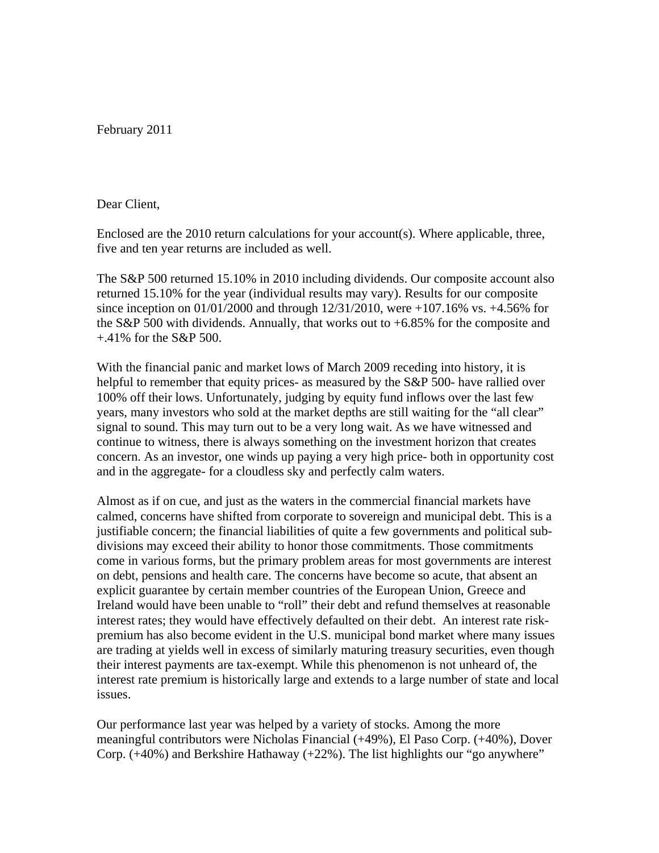February 2011

## Dear Client,

Enclosed are the 2010 return calculations for your account(s). Where applicable, three, five and ten year returns are included as well.

The S&P 500 returned 15.10% in 2010 including dividends. Our composite account also returned 15.10% for the year (individual results may vary). Results for our composite since inception on 01/01/2000 and through 12/31/2010, were +107.16% vs. +4.56% for the S&P 500 with dividends. Annually, that works out to +6.85% for the composite and +.41% for the S&P 500.

With the financial panic and market lows of March 2009 receding into history, it is helpful to remember that equity prices- as measured by the S&P 500- have rallied over 100% off their lows. Unfortunately, judging by equity fund inflows over the last few years, many investors who sold at the market depths are still waiting for the "all clear" signal to sound. This may turn out to be a very long wait. As we have witnessed and continue to witness, there is always something on the investment horizon that creates concern. As an investor, one winds up paying a very high price- both in opportunity cost and in the aggregate- for a cloudless sky and perfectly calm waters.

Almost as if on cue, and just as the waters in the commercial financial markets have calmed, concerns have shifted from corporate to sovereign and municipal debt. This is a justifiable concern; the financial liabilities of quite a few governments and political subdivisions may exceed their ability to honor those commitments. Those commitments come in various forms, but the primary problem areas for most governments are interest on debt, pensions and health care. The concerns have become so acute, that absent an explicit guarantee by certain member countries of the European Union, Greece and Ireland would have been unable to "roll" their debt and refund themselves at reasonable interest rates; they would have effectively defaulted on their debt. An interest rate riskpremium has also become evident in the U.S. municipal bond market where many issues are trading at yields well in excess of similarly maturing treasury securities, even though their interest payments are tax-exempt. While this phenomenon is not unheard of, the interest rate premium is historically large and extends to a large number of state and local issues.

Our performance last year was helped by a variety of stocks. Among the more meaningful contributors were Nicholas Financial (+49%), El Paso Corp. (+40%), Dover Corp.  $(+40%)$  and Berkshire Hathaway  $(+22%)$ . The list highlights our "go anywhere"